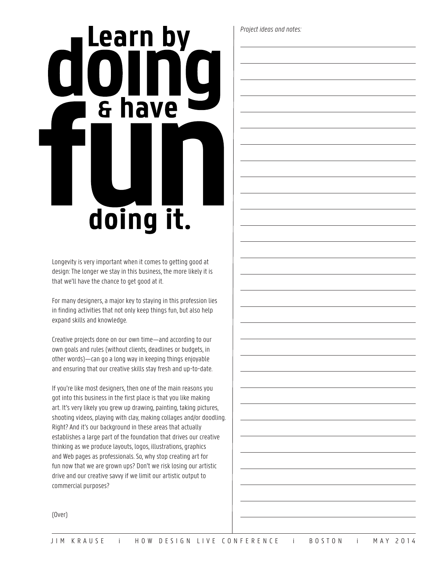## Learn by & have doing it.

Longevity is very important when it comes to getting good at design: The longer we stay in this business, the more likely it is that we'll have the chance to get good at it.

For many designers, a major key to staying in this profession lies in finding activities that not only keep things fun, but also help expand skills and knowledge.

Creative projects done on our own time—and according to our own goals and rules (without clients, deadlines or budgets, in other words)—can go a long way in keeping things enjoyable and ensuring that our creative skills stay fresh and up-to-date.

If you're like most designers, then one of the main reasons you got into this business in the first place is that you like making art. It's very likely you grew up drawing, painting, taking pictures, shooting videos, playing with clay, making collages and/or doodling. Right? And it's our background in these areas that actually establishes a large part of the foundation that drives our creative thinking as we produce layouts, logos, illustrations, graphics and Web pages as professionals. So, why stop creating art for fun now that we are grown ups? Don't we risk losing our artistic drive and our creative savvy if we limit our artistic output to commercial purposes?

*Project ideas and notes:*

(Over)